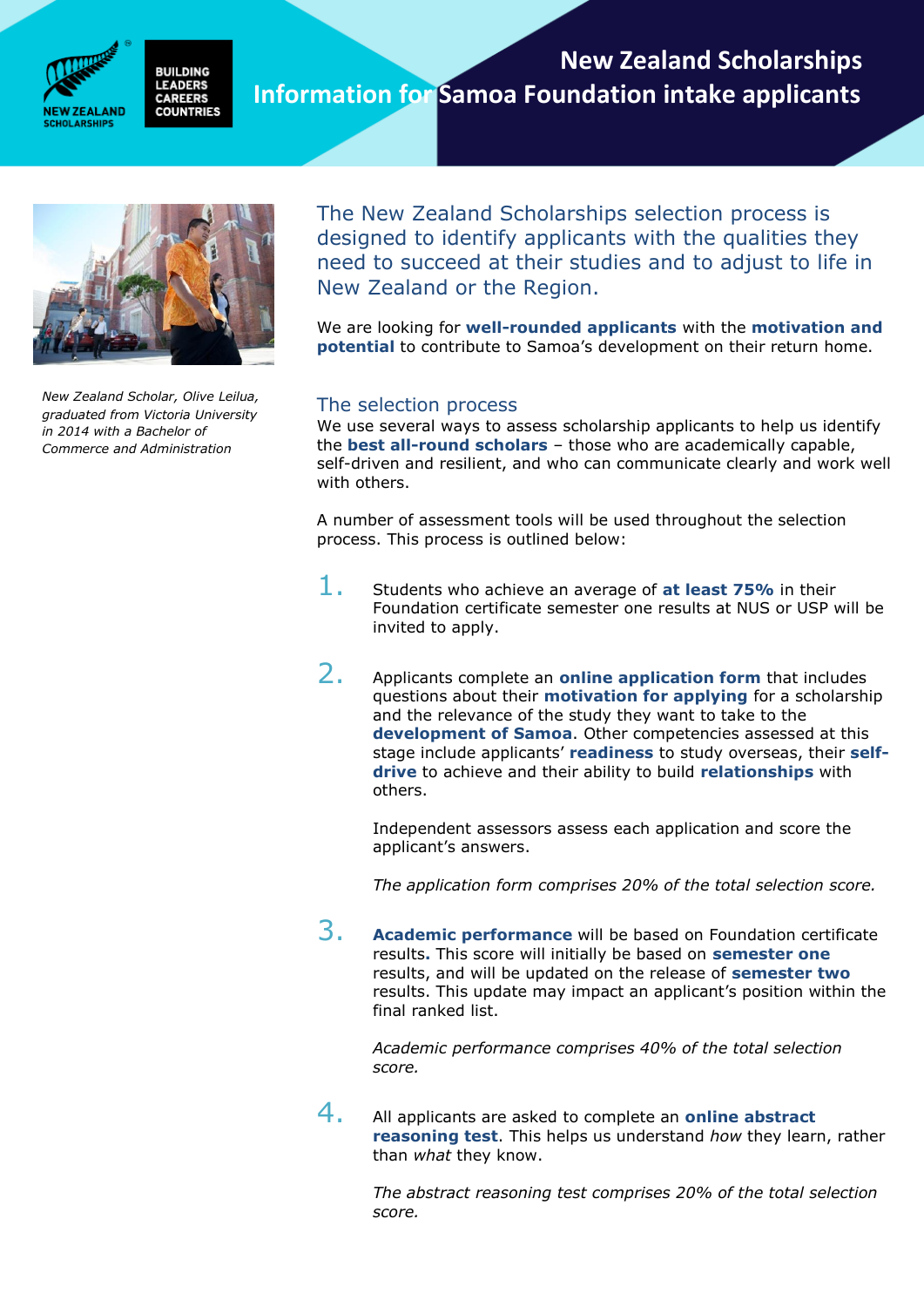

#### **New Zealand Scholarships BUILDING LEADERS Information for Samoa Foundation intake applicantsCAREERS COUNTRIES**



*New Zealand Scholar, Olive Leilua, graduated from Victoria University in 2014 with a Bachelor of Commerce and Administration* 

The New Zealand Scholarships selection process is designed to identify applicants with the qualities they need to succeed at their studies and to adjust to life in New Zealand or the Region.

**New Zealand Scholarships Programme in Samoa** 

**Information for Foundation intake applicants**

We are looking for **well-rounded applicants** with the **motivation and potential** to contribute to Samoa's development on their return home.

# The selection process

We use several ways to assess scholarship applicants to help us identify the **best all-round scholars** – those who are academically capable, self-driven and resilient, and who can communicate clearly and work well with others.

A number of assessment tools will be used throughout the selection process. This process is outlined below:

- 1. Students who achieve an average of **at least 75%** in their Foundation certificate semester one results at NUS or USP will be invited to apply.
- 2. Applicants complete an **online application form** that includes questions about their **motivation for applying** for a scholarship and the relevance of the study they want to take to the **development of Samoa**. Other competencies assessed at this stage include applicants' **readiness** to study overseas, their **selfdrive** to achieve and their ability to build **relationships** with others.

Independent assessors assess each application and score the applicant's answers.

*The application form comprises 20% of the total selection score.* 

3. **Academic performance** will be based on Foundation certificate results**.** This score will initially be based on **semester one**  results, and will be updated on the release of **semester two**  results. This update may impact an applicant's position within the final ranked list.

*Academic performance comprises 40% of the total selection score.* 

4. All applicants are asked to complete an **online abstract reasoning test**. This helps us understand *how* they learn, rather than *what* they know.

> *The abstract reasoning test comprises 20% of the total selection score.*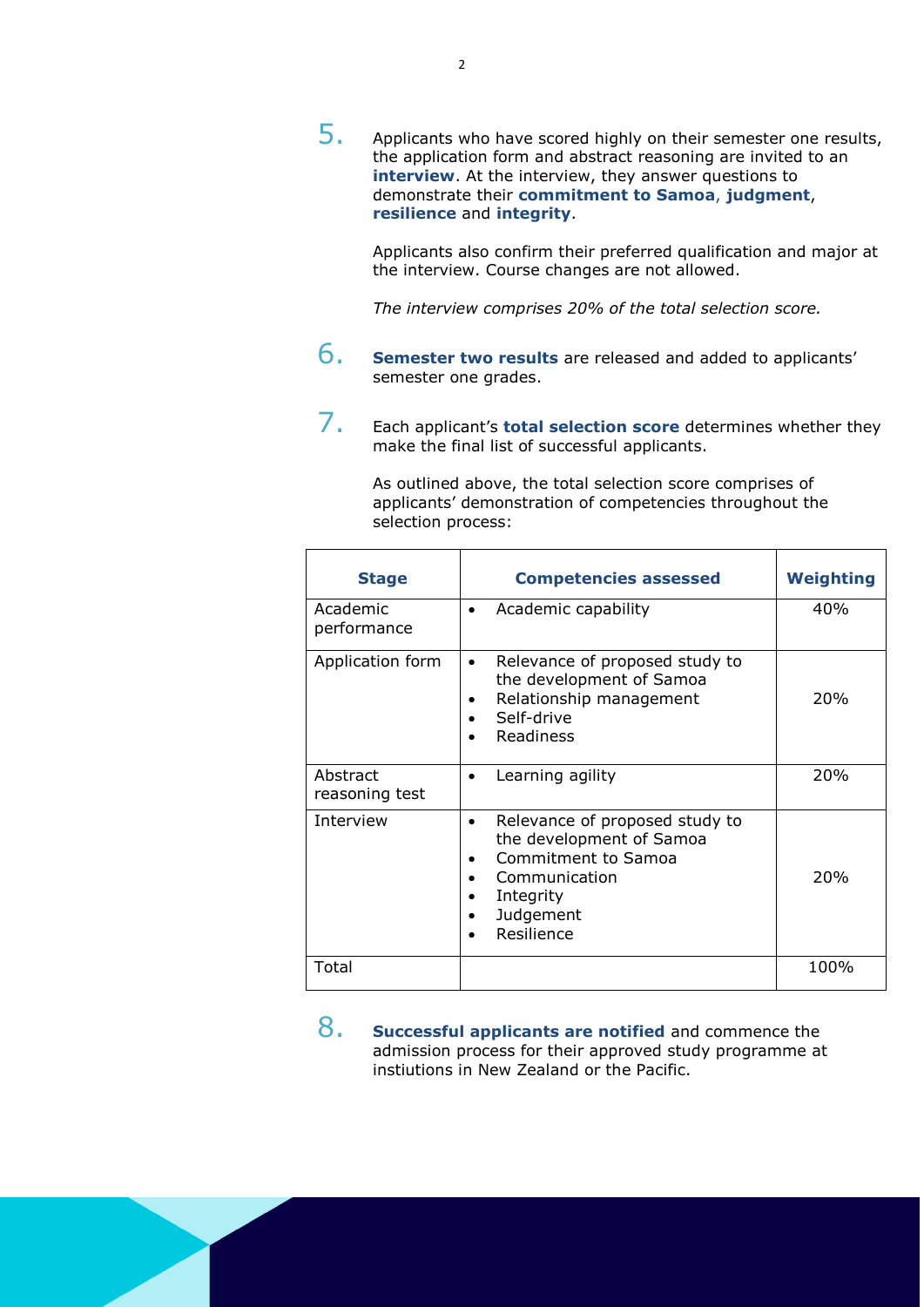$5.$  Applicants who have scored highly on their semester one results, the application form and abstract reasoning are invited to an **interview**. At the interview, they answer questions to demonstrate their **commitment to Samoa**, **judgment**, **resilience** and **integrity**.

Applicants also confirm their preferred qualification and major at the interview. Course changes are not allowed.

*The interview comprises 20% of the total selection score.*

- 6. **Semester two results** are released and added to applicants' semester one grades.
- 7. Each applicant's **total selection score** determines whether they make the final list of successful applicants.

As outlined above, the total selection score comprises of applicants' demonstration of competencies throughout the selection process:

| <b>Stage</b>               | <b>Competencies assessed</b>                                                                                                                            | <b>Weighting</b> |
|----------------------------|---------------------------------------------------------------------------------------------------------------------------------------------------------|------------------|
| Academic<br>performance    | Academic capability<br>$\bullet$                                                                                                                        | 40%              |
| Application form           | Relevance of proposed study to<br>$\bullet$<br>the development of Samoa<br>Relationship management<br>Self-drive<br>Readiness                           | <b>20%</b>       |
| Abstract<br>reasoning test | Learning agility<br>$\bullet$                                                                                                                           | <b>20%</b>       |
| Interview                  | Relevance of proposed study to<br>$\bullet$<br>the development of Samoa<br>Commitment to Samoa<br>Communication<br>Integrity<br>Judgement<br>Resilience | <b>20%</b>       |
| Total                      |                                                                                                                                                         | 100%             |

8. **Successful applicants are notified** and commence the admission process for their approved study programme at instiutions in New Zealand or the Pacific.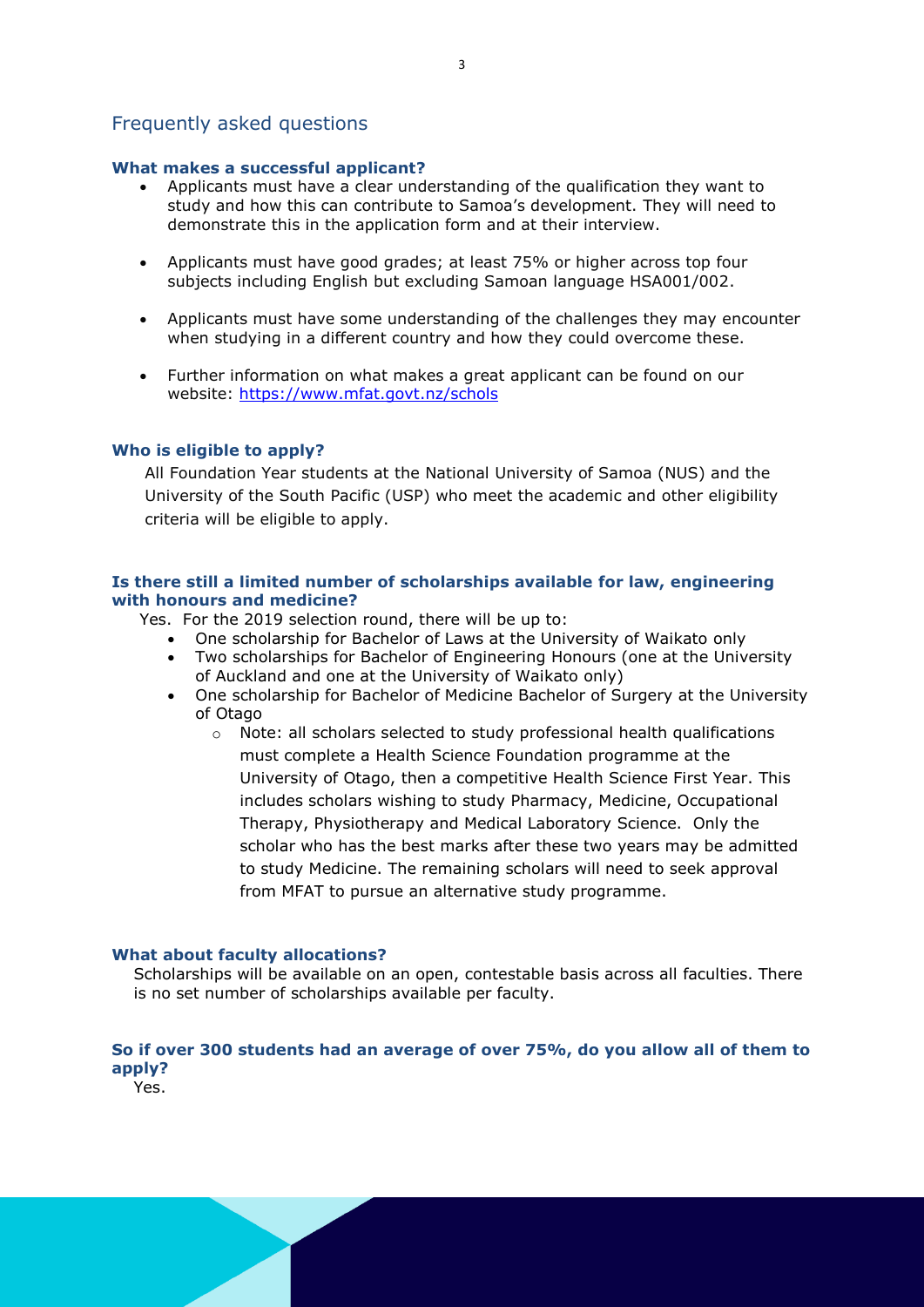# Frequently asked questions

## **What makes a successful applicant?**

- Applicants must have a clear understanding of the qualification they want to study and how this can contribute to Samoa's development. They will need to demonstrate this in the application form and at their interview.
- Applicants must have good grades; at least 75% or higher across top four subjects including English but excluding Samoan language HSA001/002.
- Applicants must have some understanding of the challenges they may encounter when studying in a different country and how they could overcome these.
- Further information on what makes a great applicant can be found on our website:<https://www.mfat.govt.nz/schols>

# **Who is eligible to apply?**

All Foundation Year students at the National University of Samoa (NUS) and the University of the South Pacific (USP) who meet the academic and other eligibility criteria will be eligible to apply.

## **Is there still a limited number of scholarships available for law, engineering with honours and medicine?**

- Yes. For the 2019 selection round, there will be up to:
	- One scholarship for Bachelor of Laws at the University of Waikato only
	- Two scholarships for Bachelor of Engineering Honours (one at the University of Auckland and one at the University of Waikato only)
	- One scholarship for Bachelor of Medicine Bachelor of Surgery at the University of Otago
		- o Note: all scholars selected to study professional health qualifications must complete a Health Science Foundation programme at the University of Otago, then a competitive Health Science First Year. This includes scholars wishing to study Pharmacy, Medicine, Occupational Therapy, Physiotherapy and Medical Laboratory Science. Only the scholar who has the best marks after these two years may be admitted to study Medicine. The remaining scholars will need to seek approval from MFAT to pursue an alternative study programme.

#### **What about faculty allocations?**

Scholarships will be available on an open, contestable basis across all faculties. There is no set number of scholarships available per faculty.

# **So if over 300 students had an average of over 75%, do you allow all of them to apply?**

Yes.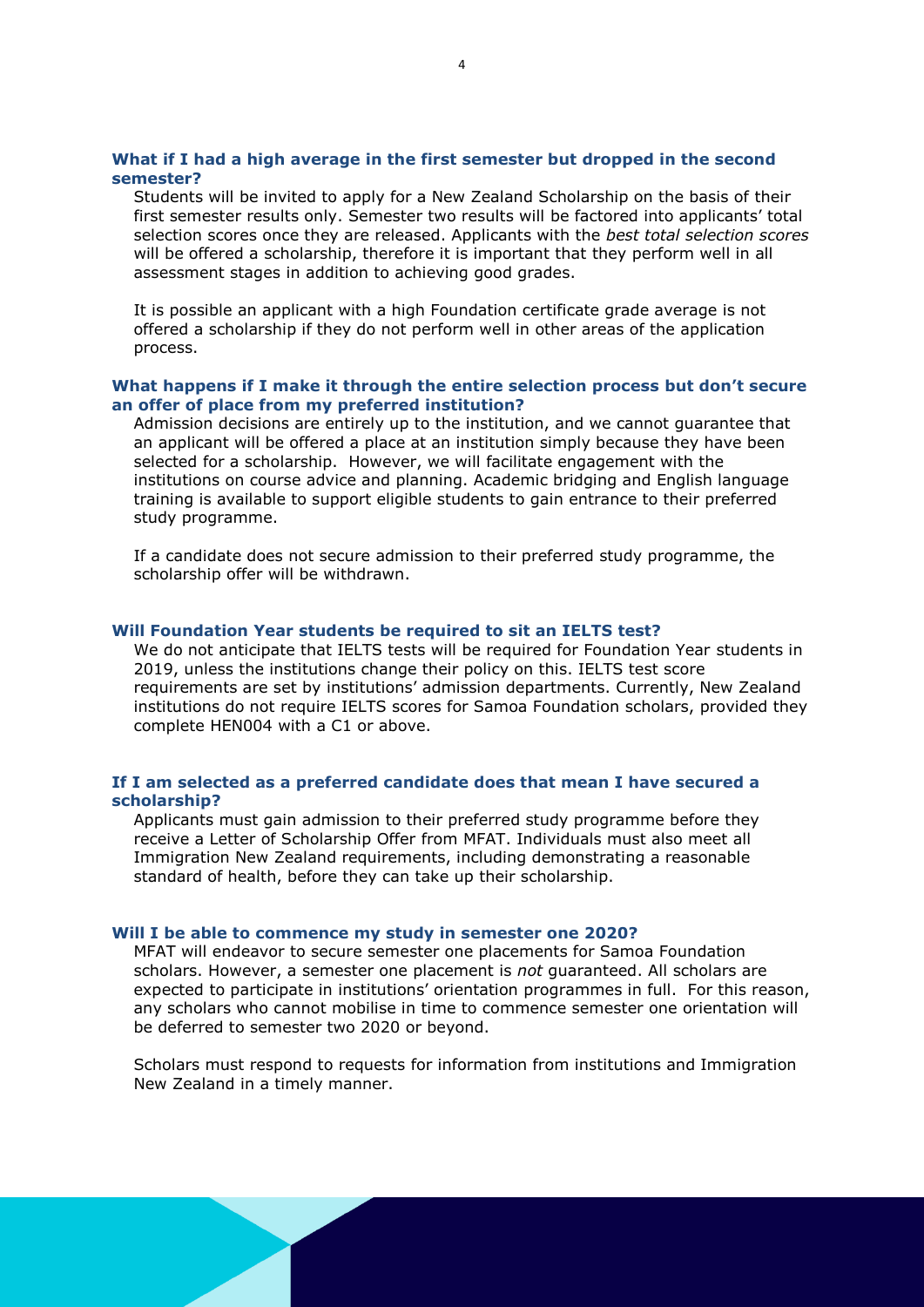### **What if I had a high average in the first semester but dropped in the second semester?**

Students will be invited to apply for a New Zealand Scholarship on the basis of their first semester results only. Semester two results will be factored into applicants' total selection scores once they are released. Applicants with the *best total selection scores* will be offered a scholarship, therefore it is important that they perform well in all assessment stages in addition to achieving good grades.

It is possible an applicant with a high Foundation certificate grade average is not offered a scholarship if they do not perform well in other areas of the application process.

## **What happens if I make it through the entire selection process but don't secure an offer of place from my preferred institution?**

Admission decisions are entirely up to the institution, and we cannot guarantee that an applicant will be offered a place at an institution simply because they have been selected for a scholarship. However, we will facilitate engagement with the institutions on course advice and planning. Academic bridging and English language training is available to support eligible students to gain entrance to their preferred study programme.

If a candidate does not secure admission to their preferred study programme, the scholarship offer will be withdrawn.

#### **Will Foundation Year students be required to sit an IELTS test?**

We do not anticipate that IELTS tests will be required for Foundation Year students in 2019, unless the institutions change their policy on this. IELTS test score requirements are set by institutions' admission departments. Currently, New Zealand institutions do not require IELTS scores for Samoa Foundation scholars, provided they complete HEN004 with a C1 or above.

#### **If I am selected as a preferred candidate does that mean I have secured a scholarship?**

Applicants must gain admission to their preferred study programme before they receive a Letter of Scholarship Offer from MFAT. Individuals must also meet all Immigration New Zealand requirements, including demonstrating a reasonable standard of health, before they can take up their scholarship.

#### **Will I be able to commence my study in semester one 2020?**

MFAT will endeavor to secure semester one placements for Samoa Foundation scholars. However, a semester one placement is *not* guaranteed. All scholars are expected to participate in institutions' orientation programmes in full. For this reason, any scholars who cannot mobilise in time to commence semester one orientation will be deferred to semester two 2020 or beyond.

Scholars must respond to requests for information from institutions and Immigration New Zealand in a timely manner.